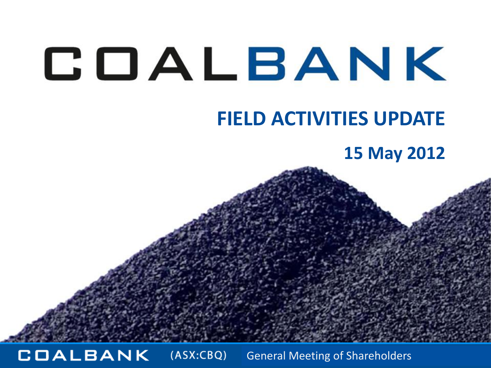#### **FIELD ACTIVITIES UPDATE**

#### **15 May 2012**

**COALBANK**  $(ASK:CBQ)$ General Meeting of Shareholders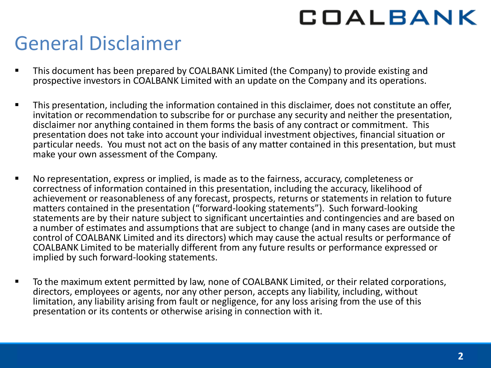### General Disclaimer

- **This document has been prepared by COALBANK Limited (the Company) to provide existing and** prospective investors in COALBANK Limited with an update on the Company and its operations.
- **This presentation, including the information contained in this disclaimer, does not constitute an offer,** invitation or recommendation to subscribe for or purchase any security and neither the presentation, disclaimer nor anything contained in them forms the basis of any contract or commitment. This presentation does not take into account your individual investment objectives, financial situation or particular needs. You must not act on the basis of any matter contained in this presentation, but must make your own assessment of the Company.
- No representation, express or implied, is made as to the fairness, accuracy, completeness or correctness of information contained in this presentation, including the accuracy, likelihood of achievement or reasonableness of any forecast, prospects, returns or statements in relation to future matters contained in the presentation ("forward-looking statements"). Such forward-looking statements are by their nature subject to significant uncertainties and contingencies and are based on a number of estimates and assumptions that are subject to change (and in many cases are outside the control of COALBANK Limited and its directors) which may cause the actual results or performance of COALBANK Limited to be materially different from any future results or performance expressed or implied by such forward-looking statements.
- **The maximum extent permitted by law, none of COALBANK Limited, or their related corporations,** directors, employees or agents, nor any other person, accepts any liability, including, without limitation, any liability arising from fault or negligence, for any loss arising from the use of this presentation or its contents or otherwise arising in connection with it.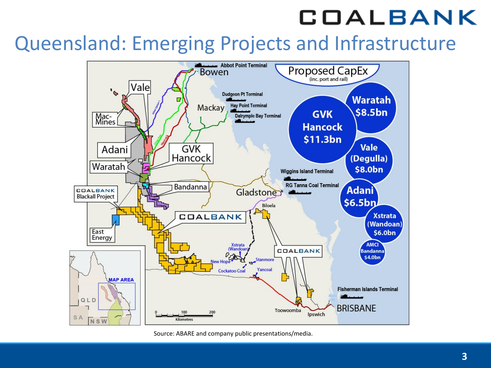#### Queensland: Emerging Projects and Infrastructure



Source: ABARE and company public presentations/media.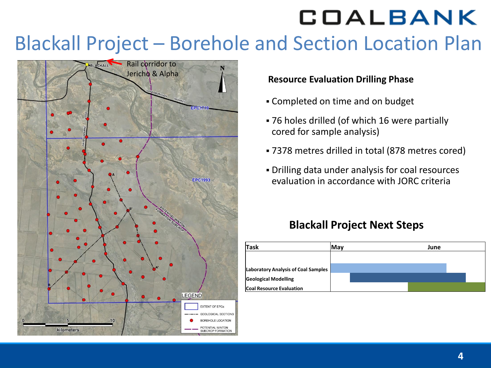## Blackall Project – Borehole and Section Location Plan



#### **Resource Evaluation Drilling Phase**

- Completed on time and on budget
- 76 holes drilled (of which 16 were partially cored for sample analysis)
- 7378 metres drilled in total (878 metres cored)
- Drilling data under analysis for coal resources evaluation in accordance with JORC criteria

#### **Blackall Project Next Steps**

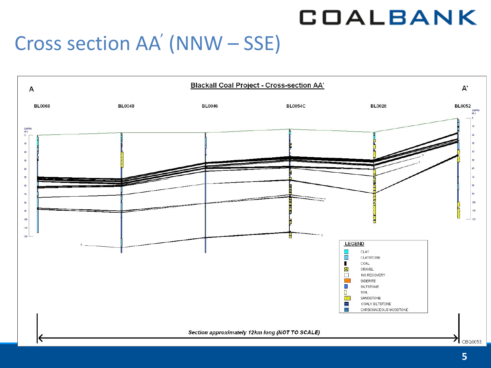## Cross section AA' (NNW – SSE)

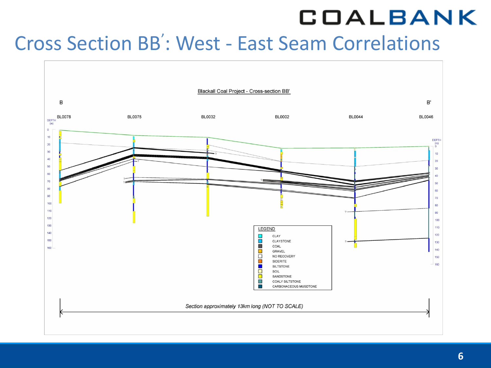## Cross Section BB' : West - East Seam Correlations

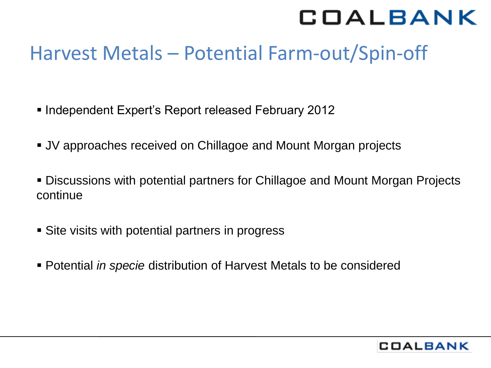### Harvest Metals – Potential Farm-out/Spin-off

- Independent Expert's Report released February 2012
- JV approaches received on Chillagoe and Mount Morgan projects
- Discussions with potential partners for Chillagoe and Mount Morgan Projects continue
- Site visits with potential partners in progress
- Potential *in specie* distribution of Harvest Metals to be considered